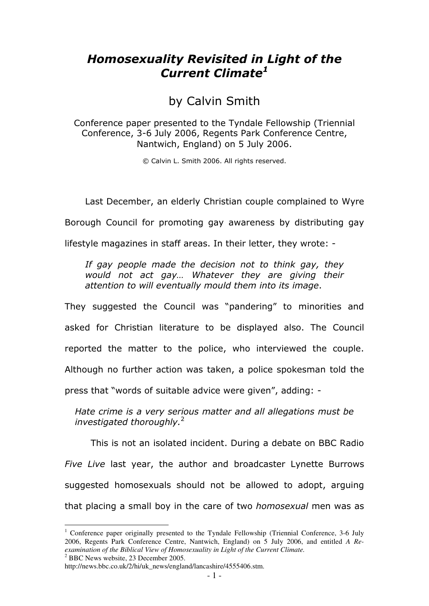# Homosexuality Revisited in Light of the Current Climate<sup>1</sup>

by Calvin Smith

Conference paper presented to the Tyndale Fellowship (Triennial Conference, 3-6 July 2006, Regents Park Conference Centre, Nantwich, England) on 5 July 2006.

© Calvin L. Smith 2006. All rights reserved.

Last December, an elderly Christian couple complained to Wyre

Borough Council for promoting gay awareness by distributing gay

lifestyle magazines in staff areas. In their letter, they wrote: -

If gay people made the decision not to think gay, they would not act gay… Whatever they are giving their attention to will eventually mould them into its image.

They suggested the Council was "pandering" to minorities and asked for Christian literature to be displayed also. The Council reported the matter to the police, who interviewed the couple. Although no further action was taken, a police spokesman told the press that "words of suitable advice were given", adding: -

Hate crime is a very serious matter and all allegations must be investigated thoroughly. $2$ 

This is not an isolated incident. During a debate on BBC Radio Five Live last year, the author and broadcaster Lynette Burrows suggested homosexuals should not be allowed to adopt, arguing that placing a small boy in the care of two homosexual men was as

<sup>&</sup>lt;sup>1</sup> Conference paper originally presented to the Tyndale Fellowship (Triennial Conference, 3-6 July 2006, Regents Park Conference Centre, Nantwich, England) on 5 July 2006, and entitled *A Reexamination of the Biblical View of Homosexuality in Light of the Current Climate.*  2 BBC News website, 23 December 2005.

http://news.bbc.co.uk/2/hi/uk\_news/england/lancashire/4555406.stm.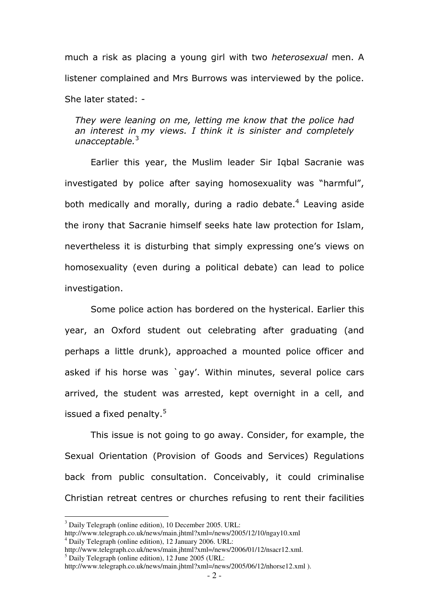much a risk as placing a young girl with two *heterosexual* men. A listener complained and Mrs Burrows was interviewed by the police. She later stated: -

They were leaning on me, letting me know that the police had an interest in my views. I think it is sinister and completely unacceptable. $3$ 

Earlier this year, the Muslim leader Sir Iqbal Sacranie was investigated by police after saying homosexuality was "harmful", both medically and morally, during a radio debate.<sup>4</sup> Leaving aside the irony that Sacranie himself seeks hate law protection for Islam, nevertheless it is disturbing that simply expressing one's views on homosexuality (even during a political debate) can lead to police investigation.

Some police action has bordered on the hysterical. Earlier this year, an Oxford student out celebrating after graduating (and perhaps a little drunk), approached a mounted police officer and asked if his horse was `gay'. Within minutes, several police cars arrived, the student was arrested, kept overnight in a cell, and issued a fixed penalty.<sup>5</sup>

This issue is not going to go away. Consider, for example, the Sexual Orientation (Provision of Goods and Services) Regulations back from public consultation. Conceivably, it could criminalise Christian retreat centres or churches refusing to rent their facilities

<sup>&</sup>lt;sup>3</sup> Daily Telegraph (online edition), 10 December 2005. URL:

http://www.telegraph.co.uk/news/main.jhtml?xml=/news/2005/12/10/ngay10.xml 4 Daily Telegraph (online edition), 12 January 2006. URL:

http://www.telegraph.co.uk/news/main.jhtml?xml=/news/2006/01/12/nsacr12.xml. 5 Daily Telegraph (online edition), 12 June 2005 (URL:

http://www.telegraph.co.uk/news/main.jhtml?xml=/news/2005/06/12/nhorse12.xml ).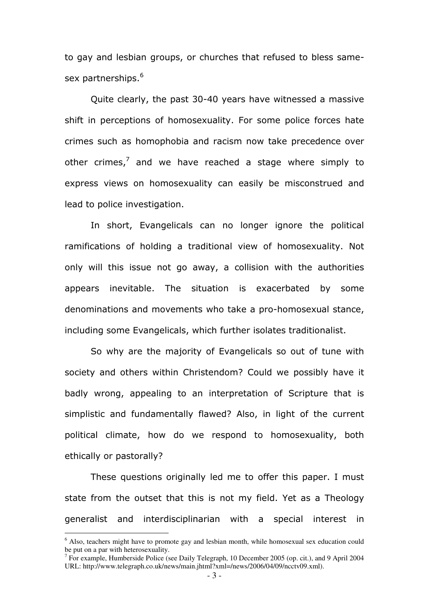to gay and lesbian groups, or churches that refused to bless samesex partnerships.<sup>6</sup>

Quite clearly, the past 30-40 years have witnessed a massive shift in perceptions of homosexuality. For some police forces hate crimes such as homophobia and racism now take precedence over other crimes, $^7$  and we have reached a stage where simply to express views on homosexuality can easily be misconstrued and lead to police investigation.

In short, Evangelicals can no longer ignore the political ramifications of holding a traditional view of homosexuality. Not only will this issue not go away, a collision with the authorities appears inevitable. The situation is exacerbated by some denominations and movements who take a pro-homosexual stance, including some Evangelicals, which further isolates traditionalist.

So why are the majority of Evangelicals so out of tune with society and others within Christendom? Could we possibly have it badly wrong, appealing to an interpretation of Scripture that is simplistic and fundamentally flawed? Also, in light of the current political climate, how do we respond to homosexuality, both ethically or pastorally?

These questions originally led me to offer this paper. I must state from the outset that this is not my field. Yet as a Theology generalist and interdisciplinarian with a special interest in

<sup>&</sup>lt;sup>6</sup> Also, teachers might have to promote gay and lesbian month, while homosexual sex education could be put on a par with heterosexuality.

<sup>&</sup>lt;sup>7</sup> For example, Humberside Police (see Daily Telegraph, 10 December 2005 (op. cit.), and 9 April 2004 URL: http://www.telegraph.co.uk/news/main.jhtml?xml=/news/2006/04/09/ncctv09.xml).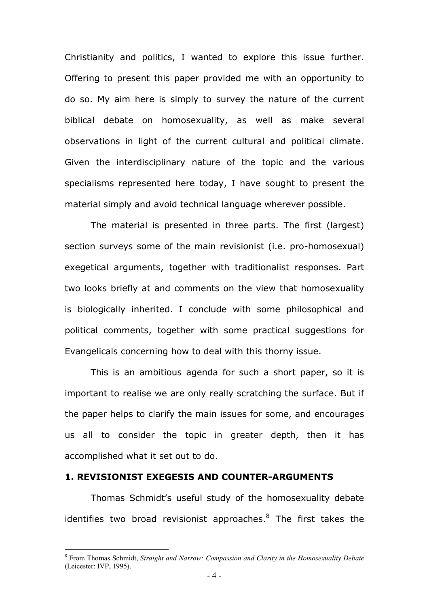Christianity and politics, I wanted to explore this issue further. Offering to present this paper provided me with an opportunity to do so. My aim here is simply to survey the nature of the current biblical debate on homosexuality, as well as make several observations in light of the current cultural and political climate. Given the interdisciplinary nature of the topic and the various specialisms represented here today, I have sought to present the material simply and avoid technical language wherever possible.

The material is presented in three parts. The first (largest) section surveys some of the main revisionist (i.e. pro-homosexual) exegetical arguments, together with traditionalist responses. Part two looks briefly at and comments on the view that homosexuality is biologically inherited. I conclude with some philosophical and political comments, together with some practical suggestions for Evangelicals concerning how to deal with this thorny issue.

This is an ambitious agenda for such a short paper, so it is important to realise we are only really scratching the surface. But if the paper helps to clarify the main issues for some, and encourages us all to consider the topic in greater depth, then it has accomplished what it set out to do.

## 1. REVISIONIST EXEGESIS AND COUNTER-ARGUMENTS

 $\overline{a}$ 

Thomas Schmidt's useful study of the homosexuality debate identifies two broad revisionist approaches.<sup>8</sup> The first takes the

<sup>8</sup> From Thomas Schmidt, *Straight and Narrow: Compassion and Clarity in the Homosexuality Debate* (Leicester: IVP, 1995).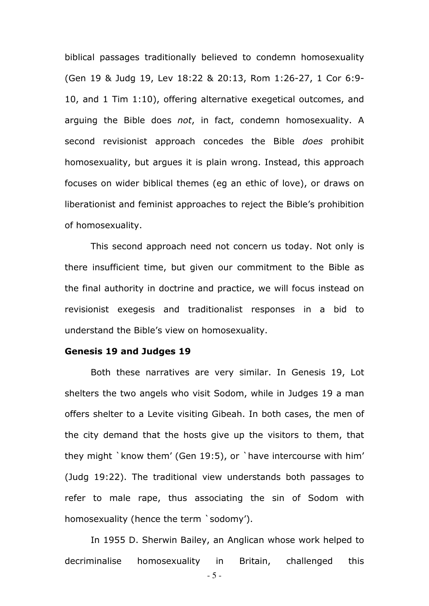biblical passages traditionally believed to condemn homosexuality (Gen 19 & Judg 19, Lev 18:22 & 20:13, Rom 1:26-27, 1 Cor 6:9- 10, and 1 Tim 1:10), offering alternative exegetical outcomes, and arguing the Bible does not, in fact, condemn homosexuality. A second revisionist approach concedes the Bible does prohibit homosexuality, but argues it is plain wrong. Instead, this approach focuses on wider biblical themes (eg an ethic of love), or draws on liberationist and feminist approaches to reject the Bible's prohibition of homosexuality.

This second approach need not concern us today. Not only is there insufficient time, but given our commitment to the Bible as the final authority in doctrine and practice, we will focus instead on revisionist exegesis and traditionalist responses in a bid to understand the Bible's view on homosexuality.

#### Genesis 19 and Judges 19

Both these narratives are very similar. In Genesis 19, Lot shelters the two angels who visit Sodom, while in Judges 19 a man offers shelter to a Levite visiting Gibeah. In both cases, the men of the city demand that the hosts give up the visitors to them, that they might `know them' (Gen 19:5), or `have intercourse with him' (Judg 19:22). The traditional view understands both passages to refer to male rape, thus associating the sin of Sodom with homosexuality (hence the term `sodomy').

In 1955 D. Sherwin Bailey, an Anglican whose work helped to decriminalise homosexuality in Britain, challenged this

- 5 -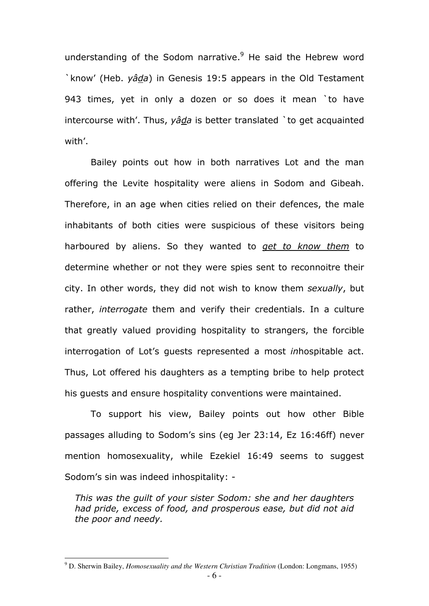understanding of the Sodom narrative.<sup>9</sup> He said the Hebrew word `know' (Heb. yâda) in Genesis 19:5 appears in the Old Testament 943 times, yet in only a dozen or so does it mean `to have intercourse with'. Thus,  $y \hat{a} \hat{d} a$  is better translated `to get acquainted with'.

Bailey points out how in both narratives Lot and the man offering the Levite hospitality were aliens in Sodom and Gibeah. Therefore, in an age when cities relied on their defences, the male inhabitants of both cities were suspicious of these visitors being harboured by aliens. So they wanted to get to know them to determine whether or not they were spies sent to reconnoitre their city. In other words, they did not wish to know them sexually, but rather, *interrogate* them and verify their credentials. In a culture that greatly valued providing hospitality to strangers, the forcible interrogation of Lot's guests represented a most inhospitable act. Thus, Lot offered his daughters as a tempting bribe to help protect his guests and ensure hospitality conventions were maintained.

To support his view, Bailey points out how other Bible passages alluding to Sodom's sins (eg Jer 23:14, Ez 16:46ff) never mention homosexuality, while Ezekiel 16:49 seems to suggest Sodom's sin was indeed inhospitality: -

This was the guilt of your sister Sodom: she and her daughters had pride, excess of food, and prosperous ease, but did not aid the poor and needy.

<sup>9</sup> D. Sherwin Bailey, *Homosexuality and the Western Christian Tradition* (London: Longmans, 1955)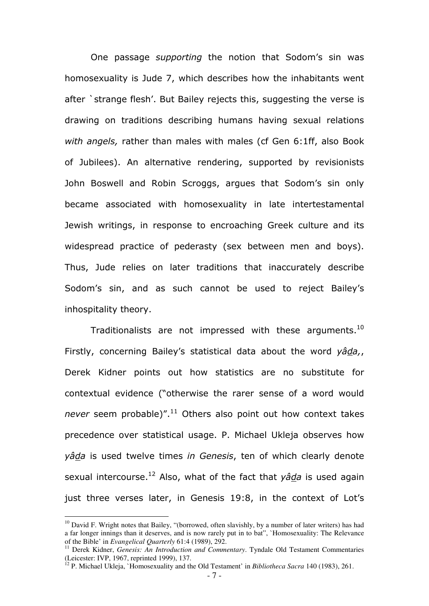One passage supporting the notion that Sodom's sin was homosexuality is Jude 7, which describes how the inhabitants went after `strange flesh'. But Bailey rejects this, suggesting the verse is drawing on traditions describing humans having sexual relations with angels, rather than males with males (cf Gen 6:1ff, also Book of Jubilees). An alternative rendering, supported by revisionists John Boswell and Robin Scroggs, argues that Sodom's sin only became associated with homosexuality in late intertestamental Jewish writings, in response to encroaching Greek culture and its widespread practice of pederasty (sex between men and boys). Thus, Jude relies on later traditions that inaccurately describe Sodom's sin, and as such cannot be used to reject Bailey's inhospitality theory.

Traditionalists are not impressed with these arguments.<sup>10</sup> Firstly, concerning Bailey's statistical data about the word yâda, Derek Kidner points out how statistics are no substitute for contextual evidence ("otherwise the rarer sense of a word would never seem probable)". $11$  Others also point out how context takes precedence over statistical usage. P. Michael Ukleja observes how yâda is used twelve times in Genesis, ten of which clearly denote sexual intercourse.<sup>12</sup> Also, what of the fact that  $y\hat{a}da$  is used again just three verses later, in Genesis 19:8, in the context of Lot's

 $10$  David F. Wright notes that Bailey, "(borrowed, often slavishly, by a number of later writers) has had a far longer innings than it deserves, and is now rarely put in to bat", `Homosexuality: The Relevance of the Bible' in *Evangelical Quarterly* 61:4 (1989), 292.

<sup>11</sup> Derek Kidner, *Genesis: An Introduction and Commentary*. Tyndale Old Testament Commentaries (Leicester: IVP, 1967, reprinted 1999), 137.

<sup>12</sup> P. Michael Ukleja, `Homosexuality and the Old Testament' in *Bibliotheca Sacra* 140 (1983), 261.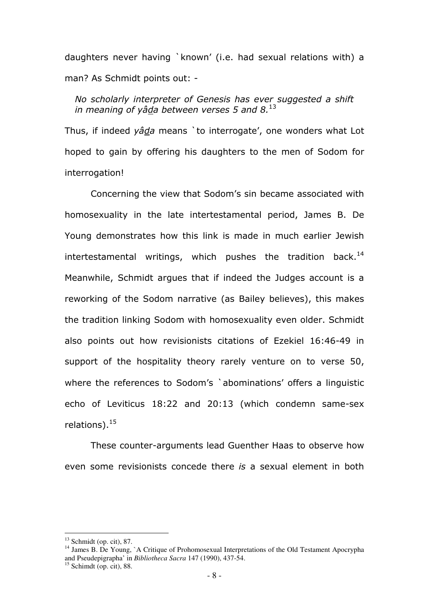daughters never having `known' (i.e. had sexual relations with) a man? As Schmidt points out: -

No scholarly interpreter of Genesis has ever suggested a shift in meaning of yâda between verses 5 and  $8.^{13}$ 

Thus, if indeed yada means `to interrogate', one wonders what Lot hoped to gain by offering his daughters to the men of Sodom for interrogation!

Concerning the view that Sodom's sin became associated with homosexuality in the late intertestamental period, James B. De Young demonstrates how this link is made in much earlier Jewish intertestamental writings, which pushes the tradition back.<sup>14</sup> Meanwhile, Schmidt argues that if indeed the Judges account is a reworking of the Sodom narrative (as Bailey believes), this makes the tradition linking Sodom with homosexuality even older. Schmidt also points out how revisionists citations of Ezekiel 16:46-49 in support of the hospitality theory rarely venture on to verse 50, where the references to Sodom's `abominations' offers a linguistic echo of Leviticus 18:22 and 20:13 (which condemn same-sex relations). $15$ 

These counter-arguments lead Guenther Haas to observe how even some revisionists concede there is a sexual element in both

 $13$  Schmidt (op. cit), 87.

<sup>&</sup>lt;sup>14</sup> James B. De Young, `A Critique of Prohomosexual Interpretations of the Old Testament Apocrypha and Pseudepigrapha' in *Bibliotheca Sacra* 147 (1990), 437-54.

 $15$  Schimdt (op. cit), 88.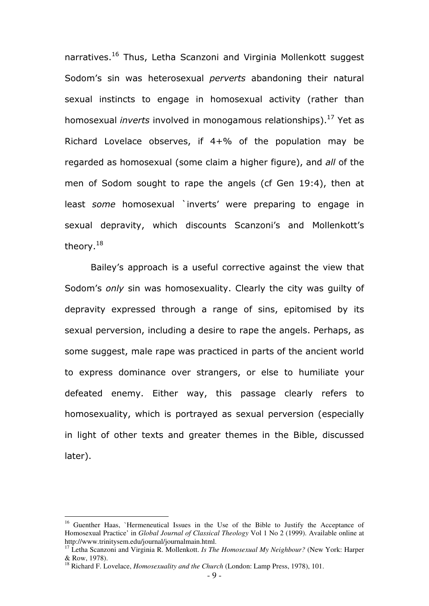narratives.<sup>16</sup> Thus, Letha Scanzoni and Virginia Mollenkott suggest Sodom's sin was heterosexual *perverts* abandoning their natural sexual instincts to engage in homosexual activity (rather than homosexual *inverts* involved in monogamous relationships).<sup>17</sup> Yet as Richard Lovelace observes, if 4+% of the population may be regarded as homosexual (some claim a higher figure), and all of the men of Sodom sought to rape the angels (cf Gen 19:4), then at least some homosexual `inverts' were preparing to engage in sexual depravity, which discounts Scanzoni's and Mollenkott's theory.<sup>18</sup>

Bailey's approach is a useful corrective against the view that Sodom's only sin was homosexuality. Clearly the city was quilty of depravity expressed through a range of sins, epitomised by its sexual perversion, including a desire to rape the angels. Perhaps, as some suggest, male rape was practiced in parts of the ancient world to express dominance over strangers, or else to humiliate your defeated enemy. Either way, this passage clearly refers to homosexuality, which is portrayed as sexual perversion (especially in light of other texts and greater themes in the Bible, discussed later).

<sup>&</sup>lt;sup>16</sup> Guenther Haas, `Hermeneutical Issues in the Use of the Bible to Justify the Acceptance of Homosexual Practice' in *Global Journal of Classical Theology* Vol 1 No 2 (1999). Available online at http://www.trinitysem.edu/journal/journalmain.html.

<sup>17</sup> Letha Scanzoni and Virginia R. Mollenkott. *Is The Homosexual My Neighbour?* (New York: Harper & Row, 1978).

<sup>18</sup> Richard F. Lovelace, *Homosexuality and the Church* (London: Lamp Press, 1978), 101.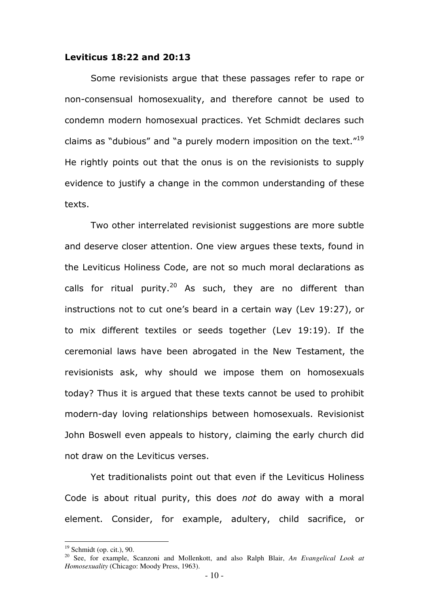#### Leviticus 18:22 and 20:13

Some revisionists argue that these passages refer to rape or non-consensual homosexuality, and therefore cannot be used to condemn modern homosexual practices. Yet Schmidt declares such claims as "dubious" and "a purely modern imposition on the text."<sup>19</sup> He rightly points out that the onus is on the revisionists to supply evidence to justify a change in the common understanding of these texts.

Two other interrelated revisionist suggestions are more subtle and deserve closer attention. One view argues these texts, found in the Leviticus Holiness Code, are not so much moral declarations as calls for ritual purity.<sup>20</sup> As such, they are no different than instructions not to cut one's beard in a certain way (Lev 19:27), or to mix different textiles or seeds together (Lev 19:19). If the ceremonial laws have been abrogated in the New Testament, the revisionists ask, why should we impose them on homosexuals today? Thus it is argued that these texts cannot be used to prohibit modern-day loving relationships between homosexuals. Revisionist John Boswell even appeals to history, claiming the early church did not draw on the Leviticus verses.

Yet traditionalists point out that even if the Leviticus Holiness Code is about ritual purity, this does not do away with a moral element. Consider, for example, adultery, child sacrifice, or

 $19$  Schmidt (op. cit.), 90.

<sup>20</sup> See, for example, Scanzoni and Mollenkott, and also Ralph Blair, *An Evangelical Look at Homosexuality* (Chicago: Moody Press, 1963).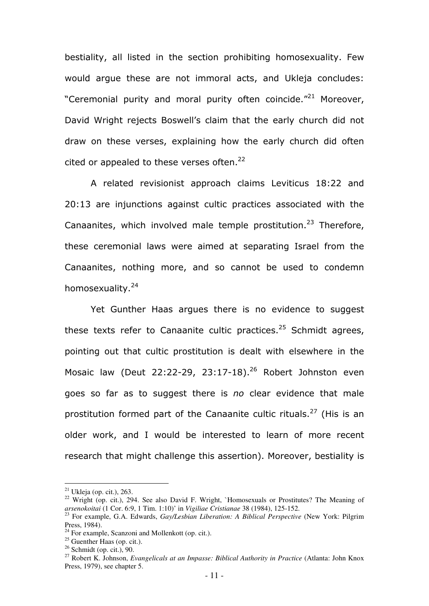bestiality, all listed in the section prohibiting homosexuality. Few would argue these are not immoral acts, and Ukleja concludes: "Ceremonial purity and moral purity often coincide."<sup>21</sup> Moreover, David Wright rejects Boswell's claim that the early church did not draw on these verses, explaining how the early church did often cited or appealed to these verses often. $^{22}$ 

A related revisionist approach claims Leviticus 18:22 and 20:13 are injunctions against cultic practices associated with the Canaanites, which involved male temple prostitution.<sup>23</sup> Therefore, these ceremonial laws were aimed at separating Israel from the Canaanites, nothing more, and so cannot be used to condemn homosexuality.<sup>24</sup>

Yet Gunther Haas argues there is no evidence to suggest these texts refer to Canaanite cultic practices.<sup>25</sup> Schmidt agrees, pointing out that cultic prostitution is dealt with elsewhere in the Mosaic law (Deut 22:22-29, 23:17-18).<sup>26</sup> Robert Johnston even goes so far as to suggest there is no clear evidence that male prostitution formed part of the Canaanite cultic rituals.<sup>27</sup> (His is an older work, and I would be interested to learn of more recent research that might challenge this assertion). Moreover, bestiality is

 $^{21}$  Ukleja (op. cit.), 263.

<sup>&</sup>lt;sup>22</sup> Wright (op. cit.), 294. See also David F. Wright, `Homosexuals or Prostitutes? The Meaning of *arsenokoitai* (1 Cor. 6:9, 1 Tim. 1:10)' in *Vigiliae Cristianae* 38 (1984), 125-152.

<sup>23</sup> For example, G.A. Edwards, *Gay/Lesbian Liberation: A Biblical Perspective* (New York: Pilgrim Press, 1984).

 $24$  For example, Scanzoni and Mollenkott (op. cit.).

 $25$  Guenther Haas (op. cit.).

 $26$  Schmidt (op. cit.), 90.

<sup>27</sup> Robert K. Johnson, *Evangelicals at an Impasse: Biblical Authority in Practice* (Atlanta: John Knox Press, 1979), see chapter 5.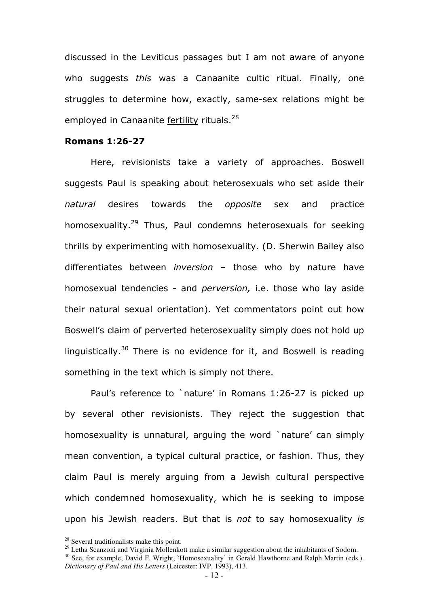discussed in the Leviticus passages but I am not aware of anyone who suggests this was a Canaanite cultic ritual. Finally, one struggles to determine how, exactly, same-sex relations might be employed in Canaanite fertility rituals.<sup>28</sup>

#### Romans 1:26-27

Here, revisionists take a variety of approaches. Boswell suggests Paul is speaking about heterosexuals who set aside their natural desires towards the opposite sex and practice homosexuality.<sup>29</sup> Thus, Paul condemns heterosexuals for seeking thrills by experimenting with homosexuality. (D. Sherwin Bailey also differentiates between inversion – those who by nature have homosexual tendencies - and *perversion*, i.e. those who lay aside their natural sexual orientation). Yet commentators point out how Boswell's claim of perverted heterosexuality simply does not hold up linguistically.<sup>30</sup> There is no evidence for it, and Boswell is reading something in the text which is simply not there.

Paul's reference to `nature' in Romans 1:26-27 is picked up by several other revisionists. They reject the suggestion that homosexuality is unnatural, arguing the word `nature' can simply mean convention, a typical cultural practice, or fashion. Thus, they claim Paul is merely arguing from a Jewish cultural perspective which condemned homosexuality, which he is seeking to impose upon his Jewish readers. But that is not to say homosexuality is

<sup>&</sup>lt;sup>28</sup> Several traditionalists make this point.

<sup>&</sup>lt;sup>29</sup> Letha Scanzoni and Virginia Mollenkott make a similar suggestion about the inhabitants of Sodom. <sup>30</sup> See, for example, David F. Wright, `Homosexuality' in Gerald Hawthorne and Ralph Martin (eds.). *Dictionary of Paul and His Letters* (Leicester: IVP, 1993), 413.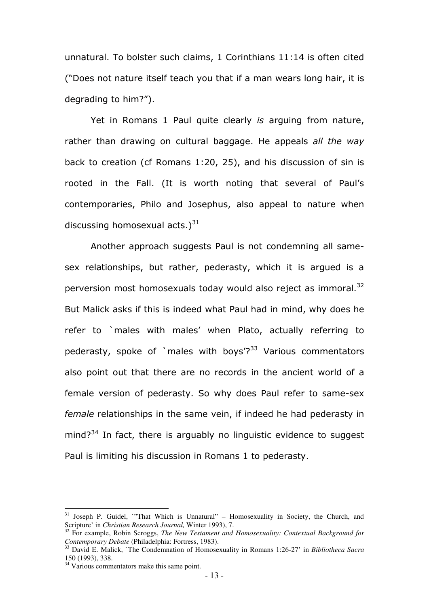unnatural. To bolster such claims, 1 Corinthians 11:14 is often cited ("Does not nature itself teach you that if a man wears long hair, it is degrading to him?").

Yet in Romans 1 Paul quite clearly is arguing from nature, rather than drawing on cultural baggage. He appeals all the way back to creation (cf Romans 1:20, 25), and his discussion of sin is rooted in the Fall. (It is worth noting that several of Paul's contemporaries, Philo and Josephus, also appeal to nature when discussing homosexual acts.) $31$ 

Another approach suggests Paul is not condemning all samesex relationships, but rather, pederasty, which it is argued is a perversion most homosexuals today would also reject as immoral. $32$ But Malick asks if this is indeed what Paul had in mind, why does he refer to `males with males' when Plato, actually referring to pederasty, spoke of `males with boys $\gamma^{33}$  Various commentators also point out that there are no records in the ancient world of a female version of pederasty. So why does Paul refer to same-sex female relationships in the same vein, if indeed he had pederasty in mind?<sup>34</sup> In fact, there is arguably no linguistic evidence to suggest Paul is limiting his discussion in Romans 1 to pederasty.

<sup>&</sup>lt;sup>31</sup> Joseph P. Guidel, `'That Which is Unnatural'' – Homosexuality in Society, the Church, and Scripture' in *Christian Research Journal,* Winter 1993), 7.

<sup>&</sup>lt;sup>32</sup> For example, Robin Scroggs, *The New Testament and Homosexuality: Contextual Background for Contemporary Debate* (Philadelphia: Fortress, 1983).

<sup>33</sup> David E. Malick, `The Condemnation of Homosexuality in Romans 1:26-27' in *Bibliotheca Sacra* 150 (1993), 338.

<sup>&</sup>lt;sup>34</sup> Various commentators make this same point.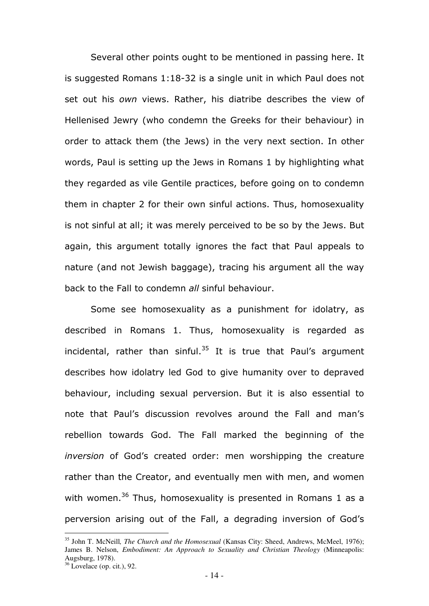Several other points ought to be mentioned in passing here. It is suggested Romans 1:18-32 is a single unit in which Paul does not set out his own views. Rather, his diatribe describes the view of Hellenised Jewry (who condemn the Greeks for their behaviour) in order to attack them (the Jews) in the very next section. In other words, Paul is setting up the Jews in Romans 1 by highlighting what they regarded as vile Gentile practices, before going on to condemn them in chapter 2 for their own sinful actions. Thus, homosexuality is not sinful at all; it was merely perceived to be so by the Jews. But again, this argument totally ignores the fact that Paul appeals to nature (and not Jewish baggage), tracing his argument all the way back to the Fall to condemn all sinful behaviour.

Some see homosexuality as a punishment for idolatry, as described in Romans 1. Thus, homosexuality is regarded as incidental, rather than sinful. $35$  It is true that Paul's argument describes how idolatry led God to give humanity over to depraved behaviour, including sexual perversion. But it is also essential to note that Paul's discussion revolves around the Fall and man's rebellion towards God. The Fall marked the beginning of the inversion of God's created order: men worshipping the creature rather than the Creator, and eventually men with men, and women with women.<sup>36</sup> Thus, homosexuality is presented in Romans 1 as a perversion arising out of the Fall, a degrading inversion of God's

<sup>35</sup> John T. McNeill*, The Church and the Homosexual* (Kansas City: Sheed, Andrews, McMeel, 1976); James B. Nelson, *Embodiment: An Approach to Sexuality and Christian Theology* (Minneapolis: Augsburg, 1978).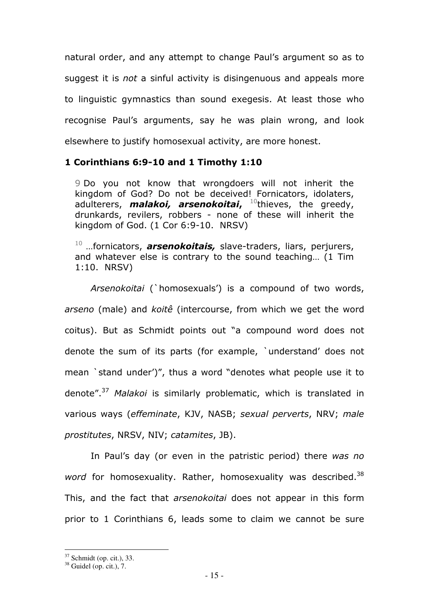natural order, and any attempt to change Paul's argument so as to suggest it is *not* a sinful activity is disingenuous and appeals more to linguistic gymnastics than sound exegesis. At least those who recognise Paul's arguments, say he was plain wrong, and look elsewhere to justify homosexual activity, are more honest.

### 1 Corinthians 6:9-10 and 1 Timothy 1:10

9 Do you not know that wrongdoers will not inherit the kingdom of God? Do not be deceived! Fornicators, idolaters, adulterers, *malakoi, arsenokoitai*, <sup>10</sup>thieves, the greedy, drunkards, revilers, robbers - none of these will inherit the kingdom of God. (1 Cor 6:9-10. NRSV)

 $10$  ... fornicators, **arsenokoitais**, slave-traders, liars, perjurers, and whatever else is contrary to the sound teaching… (1 Tim 1:10. NRSV)

Arsenokoitai (`homosexuals') is a compound of two words, arseno (male) and koitê (intercourse, from which we get the word coitus). But as Schmidt points out "a compound word does not denote the sum of its parts (for example, `understand' does not mean `stand under')", thus a word "denotes what people use it to denote".<sup>37</sup> Malakoi is similarly problematic, which is translated in various ways (effeminate, KJV, NASB; sexual perverts, NRV; male prostitutes, NRSV, NIV; catamites, JB).

In Paul's day (or even in the patristic period) there was no word for homosexuality. Rather, homosexuality was described.<sup>38</sup> This, and the fact that *arsenokoitai* does not appear in this form prior to 1 Corinthians 6, leads some to claim we cannot be sure

 $37$  Schmidt (op. cit.), 33.

 $38$  Guidel (op. cit.), 7.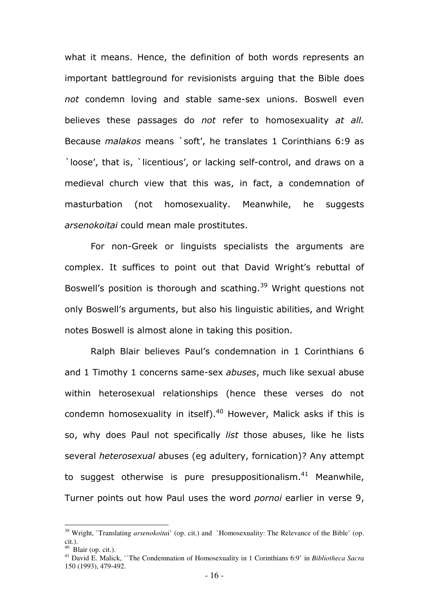what it means. Hence, the definition of both words represents an important battleground for revisionists arguing that the Bible does not condemn loving and stable same-sex unions. Boswell even believes these passages do not refer to homosexuality at all. Because malakos means `soft', he translates 1 Corinthians 6:9 as `loose', that is, `licentious', or lacking self-control, and draws on a medieval church view that this was, in fact, a condemnation of masturbation (not homosexuality. Meanwhile, he suggests arsenokoitai could mean male prostitutes.

For non-Greek or linguists specialists the arguments are complex. It suffices to point out that David Wright's rebuttal of Boswell's position is thorough and scathing.<sup>39</sup> Wright questions not only Boswell's arguments, but also his linguistic abilities, and Wright notes Boswell is almost alone in taking this position.

Ralph Blair believes Paul's condemnation in 1 Corinthians 6 and 1 Timothy 1 concerns same-sex *abuses*, much like sexual abuse within heterosexual relationships (hence these verses do not condemn homosexuality in itself). $40$  However, Malick asks if this is so, why does Paul not specifically *list* those abuses, like he lists several *heterosexual* abuses (eq adultery, fornication)? Any attempt to suggest otherwise is pure presuppositionalism. $41$  Meanwhile, Turner points out how Paul uses the word pornoi earlier in verse 9,

<sup>&</sup>lt;sup>39</sup> Wright, `Translating *arsenokoitai*' (op. cit.) and `Homosexuality: The Relevance of the Bible' (op. cit.).

 $40$  Blair (op. cit.).

<sup>41</sup> David E. Malick, ``The Condemnation of Homosexuality in 1 Corinthians 6:9' in *Bibliotheca Sacra* 150 (1993), 479-492.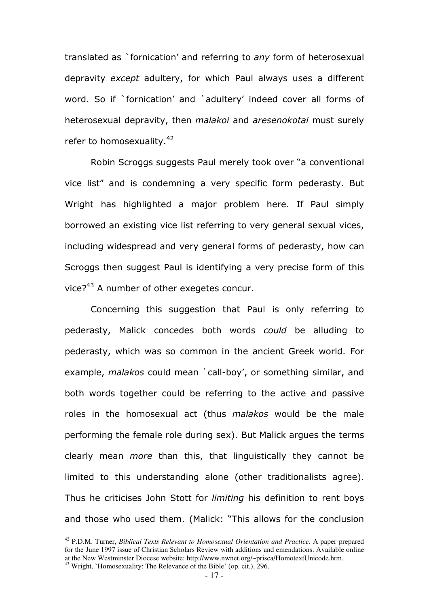translated as `fornication' and referring to any form of heterosexual depravity except adultery, for which Paul always uses a different word. So if `fornication' and `adultery' indeed cover all forms of heterosexual depravity, then *malakoi* and *aresenokotai* must surely refer to homosexuality.<sup>42</sup>

Robin Scroggs suggests Paul merely took over "a conventional vice list" and is condemning a very specific form pederasty. But Wright has highlighted a major problem here. If Paul simply borrowed an existing vice list referring to very general sexual vices, including widespread and very general forms of pederasty, how can Scroggs then suggest Paul is identifying a very precise form of this vice?<sup>43</sup> A number of other exegetes concur.

Concerning this suggestion that Paul is only referring to pederasty, Malick concedes both words could be alluding to pederasty, which was so common in the ancient Greek world. For example, malakos could mean 'call-boy', or something similar, and both words together could be referring to the active and passive roles in the homosexual act (thus malakos would be the male performing the female role during sex). But Malick argues the terms clearly mean more than this, that linguistically they cannot be limited to this understanding alone (other traditionalists agree). Thus he criticises John Stott for *limiting* his definition to rent boys and those who used them. (Malick: "This allows for the conclusion

<sup>42</sup> P.D.M. Turner, *Biblical Texts Relevant to Homosexual Orientation and Practice*. A paper prepared for the June 1997 issue of Christian Scholars Review with additions and emendations. Available online at the New Westminster Diocese website: http://www.nwnet.org/~prisca/HomotextUnicode.htm. <sup>43</sup> Wright, `Homosexuality: The Relevance of the Bible' (op. cit.), 296.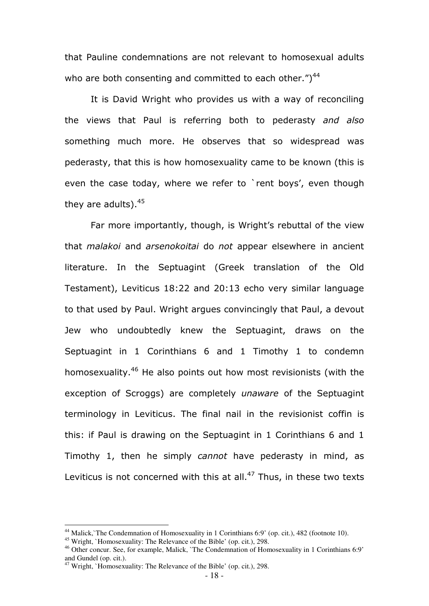that Pauline condemnations are not relevant to homosexual adults who are both consenting and committed to each other.") $44$ 

It is David Wright who provides us with a way of reconciling the views that Paul is referring both to pederasty and also something much more. He observes that so widespread was pederasty, that this is how homosexuality came to be known (this is even the case today, where we refer to `rent boys', even though they are adults).<sup>45</sup>

Far more importantly, though, is Wright's rebuttal of the view that malakoi and arsenokoitai do not appear elsewhere in ancient literature. In the Septuagint (Greek translation of the Old Testament), Leviticus 18:22 and 20:13 echo very similar language to that used by Paul. Wright argues convincingly that Paul, a devout Jew who undoubtedly knew the Septuagint, draws on the Septuagint in 1 Corinthians 6 and 1 Timothy 1 to condemn homosexuality.<sup>46</sup> He also points out how most revisionists (with the exception of Scroggs) are completely unaware of the Septuagint terminology in Leviticus. The final nail in the revisionist coffin is this: if Paul is drawing on the Septuagint in 1 Corinthians 6 and 1 Timothy 1, then he simply cannot have pederasty in mind, as Leviticus is not concerned with this at all. $47$  Thus, in these two texts

<sup>&</sup>lt;sup>44</sup> Malick, The Condemnation of Homosexuality in 1 Corinthians 6:9' (op. cit.), 482 (footnote 10).

<sup>&</sup>lt;sup>45</sup> Wright, `Homosexuality: The Relevance of the Bible' (op. cit.), 298.

<sup>46</sup> Other concur. See, for example, Malick, `The Condemnation of Homosexuality in 1 Corinthians 6:9' and Gundel (op. cit.).

 $47$  Wright, `Homosexuality: The Relevance of the Bible' (op. cit.), 298.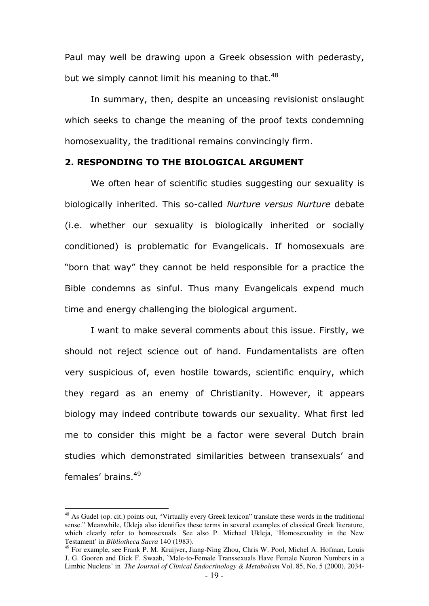Paul may well be drawing upon a Greek obsession with pederasty, but we simply cannot limit his meaning to that. $48$ 

In summary, then, despite an unceasing revisionist onslaught which seeks to change the meaning of the proof texts condemning homosexuality, the traditional remains convincingly firm.

#### 2. RESPONDING TO THE BIOLOGICAL ARGUMENT

We often hear of scientific studies suggesting our sexuality is biologically inherited. This so-called Nurture versus Nurture debate (i.e. whether our sexuality is biologically inherited or socially conditioned) is problematic for Evangelicals. If homosexuals are "born that way" they cannot be held responsible for a practice the Bible condemns as sinful. Thus many Evangelicals expend much time and energy challenging the biological argument.

I want to make several comments about this issue. Firstly, we should not reject science out of hand. Fundamentalists are often very suspicious of, even hostile towards, scientific enquiry, which they regard as an enemy of Christianity. However, it appears biology may indeed contribute towards our sexuality. What first led me to consider this might be a factor were several Dutch brain studies which demonstrated similarities between transexuals' and females' brains.<sup>49</sup>

<sup>&</sup>lt;sup>48</sup> As Gudel (op. cit.) points out, "Virtually every Greek lexicon" translate these words in the traditional sense." Meanwhile, Ukleja also identifies these terms in several examples of classical Greek literature, which clearly refer to homosexuals. See also P. Michael Ukleja, `Homosexuality in the New Testament' in *Bibliotheca Sacra* 140 (1983).

<sup>49</sup> For example, see Frank P. M. Kruijver**,** Jiang-Ning Zhou, Chris W. Pool, Michel A. Hofman, Louis J. G. Gooren and Dick F. Swaab, **`**Male-to-Female Transsexuals Have Female Neuron Numbers in a Limbic Nucleus' in *The Journal of Clinical Endocrinology & Metabolism* Vol. 85, No. 5 (2000), 2034-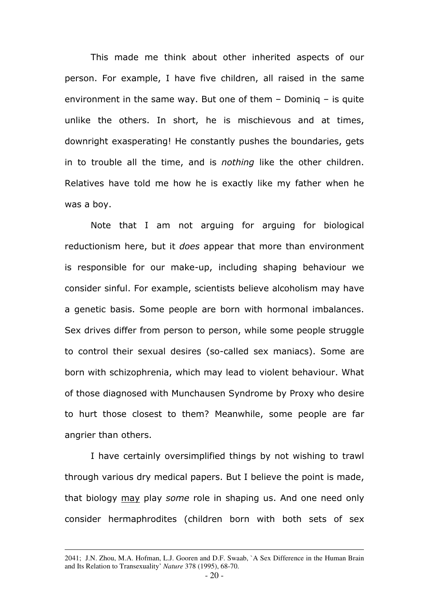This made me think about other inherited aspects of our person. For example, I have five children, all raised in the same environment in the same way. But one of them – Dominiq – is quite unlike the others. In short, he is mischievous and at times, downright exasperating! He constantly pushes the boundaries, gets in to trouble all the time, and is nothing like the other children. Relatives have told me how he is exactly like my father when he was a boy.

Note that I am not arguing for arguing for biological reductionism here, but it *does* appear that more than environment is responsible for our make-up, including shaping behaviour we consider sinful. For example, scientists believe alcoholism may have a genetic basis. Some people are born with hormonal imbalances. Sex drives differ from person to person, while some people struggle to control their sexual desires (so-called sex maniacs). Some are born with schizophrenia, which may lead to violent behaviour. What of those diagnosed with Munchausen Syndrome by Proxy who desire to hurt those closest to them? Meanwhile, some people are far angrier than others.

I have certainly oversimplified things by not wishing to trawl through various dry medical papers. But I believe the point is made, that biology may play some role in shaping us. And one need only consider hermaphrodites (children born with both sets of sex

<u>.</u>

<sup>2041;</sup> J.N. Zhou, M.A. Hofman, L.J. Gooren and D.F. Swaab, `A Sex Difference in the Human Brain and Its Relation to Transexuality' *Nature* 378 (1995), 68-70.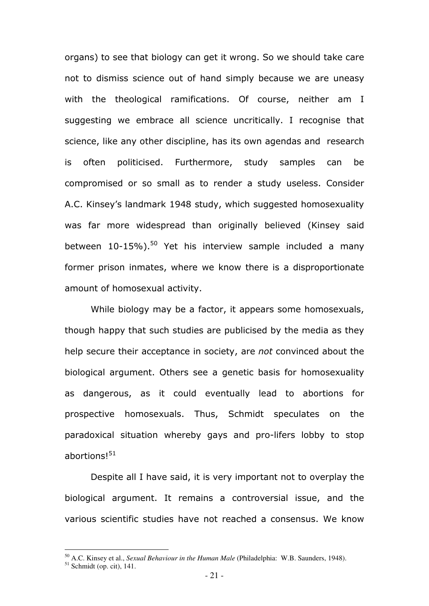organs) to see that biology can get it wrong. So we should take care not to dismiss science out of hand simply because we are uneasy with the theological ramifications. Of course, neither am I suggesting we embrace all science uncritically. I recognise that science, like any other discipline, has its own agendas and research is often politicised. Furthermore, study samples can be compromised or so small as to render a study useless. Consider A.C. Kinsey's landmark 1948 study, which suggested homosexuality was far more widespread than originally believed (Kinsey said between  $10-15\%$ ).<sup>50</sup> Yet his interview sample included a many former prison inmates, where we know there is a disproportionate amount of homosexual activity.

 While biology may be a factor, it appears some homosexuals, though happy that such studies are publicised by the media as they help secure their acceptance in society, are not convinced about the biological argument. Others see a genetic basis for homosexuality as dangerous, as it could eventually lead to abortions for prospective homosexuals. Thus, Schmidt speculates on the paradoxical situation whereby gays and pro-lifers lobby to stop abortions!<sup>51</sup>

Despite all I have said, it is very important not to overplay the biological argument. It remains a controversial issue, and the various scientific studies have not reached a consensus. We know

<sup>50</sup> A.C. Kinsey et al., *Sexual Behaviour in the Human Male* (Philadelphia: W.B. Saunders, 1948).

 $51$  Schmidt (op. cit), 141.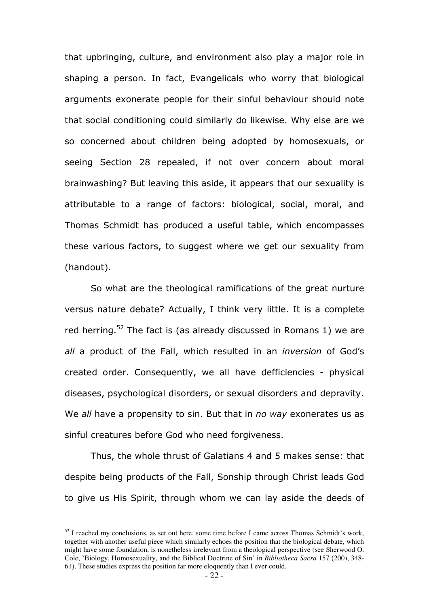that upbringing, culture, and environment also play a major role in shaping a person. In fact, Evangelicals who worry that biological arguments exonerate people for their sinful behaviour should note that social conditioning could similarly do likewise. Why else are we so concerned about children being adopted by homosexuals, or seeing Section 28 repealed, if not over concern about moral brainwashing? But leaving this aside, it appears that our sexuality is attributable to a range of factors: biological, social, moral, and Thomas Schmidt has produced a useful table, which encompasses these various factors, to suggest where we get our sexuality from (handout).

So what are the theological ramifications of the great nurture versus nature debate? Actually, I think very little. It is a complete red herring.<sup>52</sup> The fact is (as already discussed in Romans 1) we are all a product of the Fall, which resulted in an *inversion* of God's created order. Consequently, we all have defficiencies - physical diseases, psychological disorders, or sexual disorders and depravity. We all have a propensity to sin. But that in no way exonerates us as sinful creatures before God who need forgiveness.

Thus, the whole thrust of Galatians 4 and 5 makes sense: that despite being products of the Fall, Sonship through Christ leads God to give us His Spirit, through whom we can lay aside the deeds of

 $52$  I reached my conclusions, as set out here, some time before I came across Thomas Schmidt's work, together with another useful piece which similarly echoes the position that the biological debate, which might have some foundation, is nonetheless irrelevant from a theological perspective (see Sherwood O. Cole, `Biology, Homosexuality, and the Biblical Doctrine of Sin' in *Bibliotheca Sacra* 157 (200), 348- 61). These studies express the position far more eloquently than I ever could.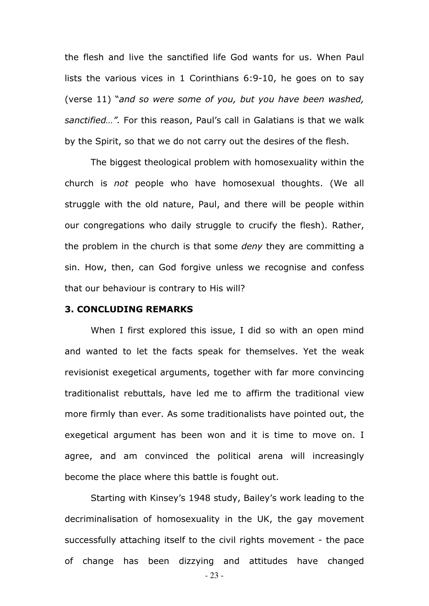the flesh and live the sanctified life God wants for us. When Paul lists the various vices in 1 Corinthians 6:9-10, he goes on to say (verse 11) "and so were some of you, but you have been washed, sanctified…". For this reason, Paul's call in Galatians is that we walk by the Spirit, so that we do not carry out the desires of the flesh.

The biggest theological problem with homosexuality within the church is not people who have homosexual thoughts. (We all struggle with the old nature, Paul, and there will be people within our congregations who daily struggle to crucify the flesh). Rather, the problem in the church is that some deny they are committing a sin. How, then, can God forgive unless we recognise and confess that our behaviour is contrary to His will?

#### 3. CONCLUDING REMARKS

When I first explored this issue, I did so with an open mind and wanted to let the facts speak for themselves. Yet the weak revisionist exegetical arguments, together with far more convincing traditionalist rebuttals, have led me to affirm the traditional view more firmly than ever. As some traditionalists have pointed out, the exegetical argument has been won and it is time to move on. I agree, and am convinced the political arena will increasingly become the place where this battle is fought out.

Starting with Kinsey's 1948 study, Bailey's work leading to the decriminalisation of homosexuality in the UK, the gay movement successfully attaching itself to the civil rights movement - the pace of change has been dizzying and attitudes have changed

- 23 -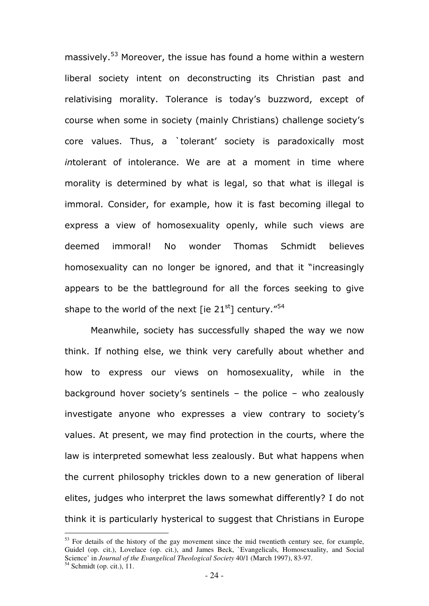massively.<sup>53</sup> Moreover, the issue has found a home within a western liberal society intent on deconstructing its Christian past and relativising morality. Tolerance is today's buzzword, except of course when some in society (mainly Christians) challenge society's core values. Thus, a `tolerant' society is paradoxically most intolerant of intolerance. We are at a moment in time where morality is determined by what is legal, so that what is illegal is immoral. Consider, for example, how it is fast becoming illegal to express a view of homosexuality openly, while such views are deemed immoral! No wonder Thomas Schmidt believes homosexuality can no longer be ignored, and that it "increasingly appears to be the battleground for all the forces seeking to give shape to the world of the next [ie  $21<sup>st</sup>$ ] century."<sup>54</sup>

Meanwhile, society has successfully shaped the way we now think. If nothing else, we think very carefully about whether and how to express our views on homosexuality, while in the background hover society's sentinels – the police – who zealously investigate anyone who expresses a view contrary to society's values. At present, we may find protection in the courts, where the law is interpreted somewhat less zealously. But what happens when the current philosophy trickles down to a new generation of liberal elites, judges who interpret the laws somewhat differently? I do not think it is particularly hysterical to suggest that Christians in Europe

 $53$  For details of the history of the gay movement since the mid twentieth century see, for example, Guidel (op. cit.), Lovelace (op. cit.), and James Beck, `Evangelicals, Homosexuality, and Social Science' in *Journal of the Evangelical Theological Society* 40/1 (March 1997), 83-97.  $54$  Schmidt (op. cit.), 11.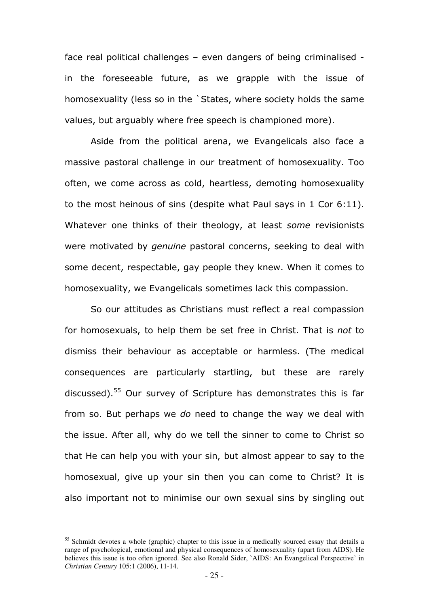face real political challenges – even dangers of being criminalised in the foreseeable future, as we grapple with the issue of homosexuality (less so in the `States, where society holds the same values, but arguably where free speech is championed more).

Aside from the political arena, we Evangelicals also face a massive pastoral challenge in our treatment of homosexuality. Too often, we come across as cold, heartless, demoting homosexuality to the most heinous of sins (despite what Paul says in 1 Cor 6:11). Whatever one thinks of their theology, at least some revisionists were motivated by genuine pastoral concerns, seeking to deal with some decent, respectable, gay people they knew. When it comes to homosexuality, we Evangelicals sometimes lack this compassion.

So our attitudes as Christians must reflect a real compassion for homosexuals, to help them be set free in Christ. That is not to dismiss their behaviour as acceptable or harmless. (The medical consequences are particularly startling, but these are rarely discussed).<sup>55</sup> Our survey of Scripture has demonstrates this is far from so. But perhaps we do need to change the way we deal with the issue. After all, why do we tell the sinner to come to Christ so that He can help you with your sin, but almost appear to say to the homosexual, give up your sin then you can come to Christ? It is also important not to minimise our own sexual sins by singling out

<sup>&</sup>lt;sup>55</sup> Schmidt devotes a whole (graphic) chapter to this issue in a medically sourced essay that details a range of psychological, emotional and physical consequences of homosexuality (apart from AIDS). He believes this issue is too often ignored. See also Ronald Sider, `AIDS: An Evangelical Perspective' in *Christian Century* 105:1 (2006), 11-14.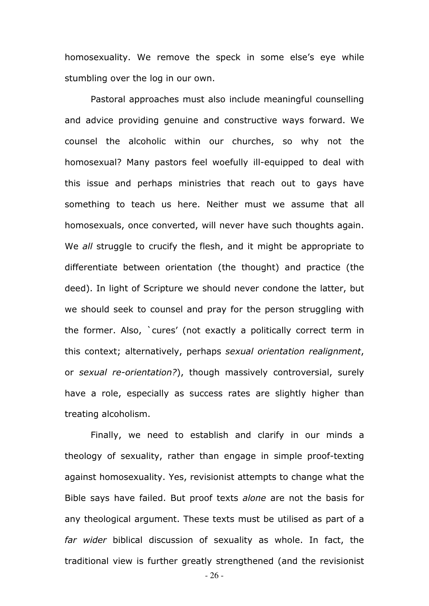homosexuality. We remove the speck in some else's eye while stumbling over the log in our own.

Pastoral approaches must also include meaningful counselling and advice providing genuine and constructive ways forward. We counsel the alcoholic within our churches, so why not the homosexual? Many pastors feel woefully ill-equipped to deal with this issue and perhaps ministries that reach out to gays have something to teach us here. Neither must we assume that all homosexuals, once converted, will never have such thoughts again. We all struggle to crucify the flesh, and it might be appropriate to differentiate between orientation (the thought) and practice (the deed). In light of Scripture we should never condone the latter, but we should seek to counsel and pray for the person struggling with the former. Also, `cures' (not exactly a politically correct term in this context; alternatively, perhaps sexual orientation realignment, or sexual re-orientation?), though massively controversial, surely have a role, especially as success rates are slightly higher than treating alcoholism.

Finally, we need to establish and clarify in our minds a theology of sexuality, rather than engage in simple proof-texting against homosexuality. Yes, revisionist attempts to change what the Bible says have failed. But proof texts alone are not the basis for any theological argument. These texts must be utilised as part of a far wider biblical discussion of sexuality as whole. In fact, the traditional view is further greatly strengthened (and the revisionist

- 26 -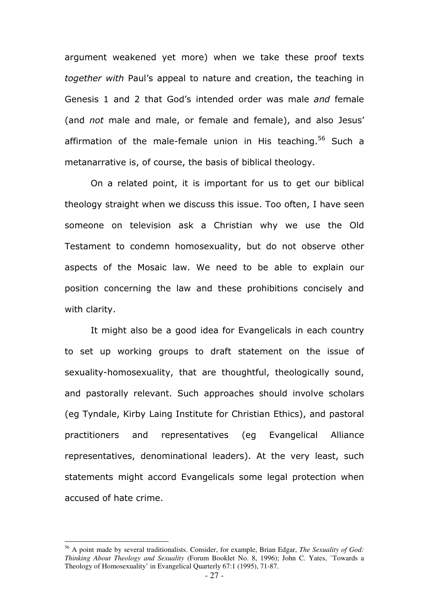argument weakened yet more) when we take these proof texts together with Paul's appeal to nature and creation, the teaching in Genesis 1 and 2 that God's intended order was male and female (and not male and male, or female and female), and also Jesus' affirmation of the male-female union in His teaching.<sup>56</sup> Such a metanarrative is, of course, the basis of biblical theology.

On a related point, it is important for us to get our biblical theology straight when we discuss this issue. Too often, I have seen someone on television ask a Christian why we use the Old Testament to condemn homosexuality, but do not observe other aspects of the Mosaic law. We need to be able to explain our position concerning the law and these prohibitions concisely and with clarity.

It might also be a good idea for Evangelicals in each country to set up working groups to draft statement on the issue of sexuality-homosexuality, that are thoughtful, theologically sound, and pastorally relevant. Such approaches should involve scholars (eg Tyndale, Kirby Laing Institute for Christian Ethics), and pastoral practitioners and representatives (eg Evangelical Alliance representatives, denominational leaders). At the very least, such statements might accord Evangelicals some legal protection when accused of hate crime.

<sup>56</sup> A point made by several traditionalists. Consider, for example, Brian Edgar, *The Sexuality of God: Thinking About Theology and Sexuality* (Forum Booklet No. 8, 1996); John C. Yates, `Towards a Theology of Homosexuality' in Evangelical Quarterly 67:1 (1995), 71-87.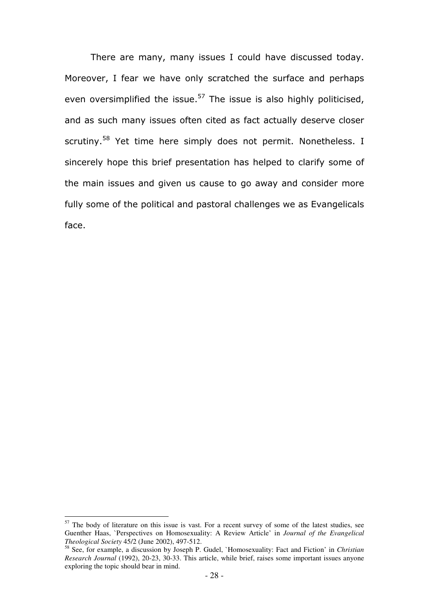There are many, many issues I could have discussed today. Moreover, I fear we have only scratched the surface and perhaps even oversimplified the issue.<sup>57</sup> The issue is also highly politicised, and as such many issues often cited as fact actually deserve closer scrutiny.<sup>58</sup> Yet time here simply does not permit. Nonetheless. I sincerely hope this brief presentation has helped to clarify some of the main issues and given us cause to go away and consider more fully some of the political and pastoral challenges we as Evangelicals face.

 $57$  The body of literature on this issue is vast. For a recent survey of some of the latest studies, see Guenther Haas, `Perspectives on Homosexuality: A Review Article' in *Journal of the Evangelical Theological Society* 45/2 (June 2002), 497-512.

<sup>58</sup> See, for example, a discussion by Joseph P. Gudel, `Homosexuality: Fact and Fiction' in *Christian Research Journal* (1992), 20-23, 30-33. This article, while brief, raises some important issues anyone exploring the topic should bear in mind.